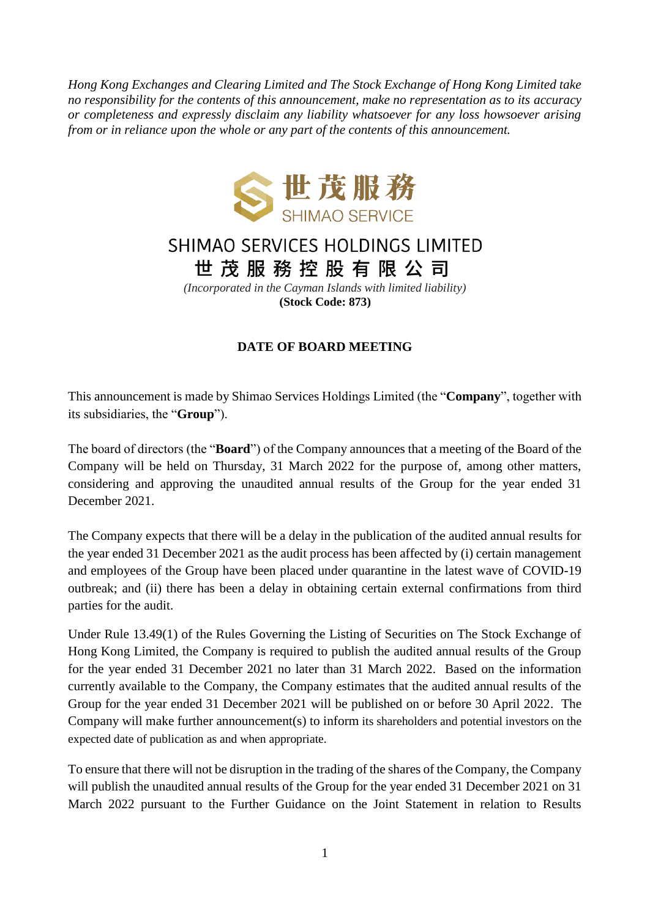*Hong Kong Exchanges and Clearing Limited and The Stock Exchange of Hong Kong Limited take no responsibility for the contents of this announcement, make no representation as to its accuracy or completeness and expressly disclaim any liability whatsoever for any loss howsoever arising from or in reliance upon the whole or any part of the contents of this announcement.*



## SHIMAO SERVICES HOLDINGS LIMITED 世茂服務控股有限公司

*(Incorporated in the Cayman Islands with limited liability)* **(Stock Code: 873)**

## **DATE OF BOARD MEETING**

This announcement is made by Shimao Services Holdings Limited (the "**Company**", together with its subsidiaries, the "**Group**").

The board of directors (the "**Board**") of the Company announces that a meeting of the Board of the Company will be held on Thursday, 31 March 2022 for the purpose of, among other matters, considering and approving the unaudited annual results of the Group for the year ended 31 December 2021.

The Company expects that there will be a delay in the publication of the audited annual results for the year ended 31 December 2021 as the audit process has been affected by (i) certain management and employees of the Group have been placed under quarantine in the latest wave of COVID-19 outbreak; and (ii) there has been a delay in obtaining certain external confirmations from third parties for the audit.

Under Rule 13.49(1) of the Rules Governing the Listing of Securities on The Stock Exchange of Hong Kong Limited, the Company is required to publish the audited annual results of the Group for the year ended 31 December 2021 no later than 31 March 2022. Based on the information currently available to the Company, the Company estimates that the audited annual results of the Group for the year ended 31 December 2021 will be published on or before 30 April 2022. The Company will make further announcement(s) to inform its shareholders and potential investors on the expected date of publication as and when appropriate.

To ensure that there will not be disruption in the trading of the shares of the Company, the Company will publish the unaudited annual results of the Group for the year ended 31 December 2021 on 31 March 2022 pursuant to the Further Guidance on the Joint Statement in relation to Results